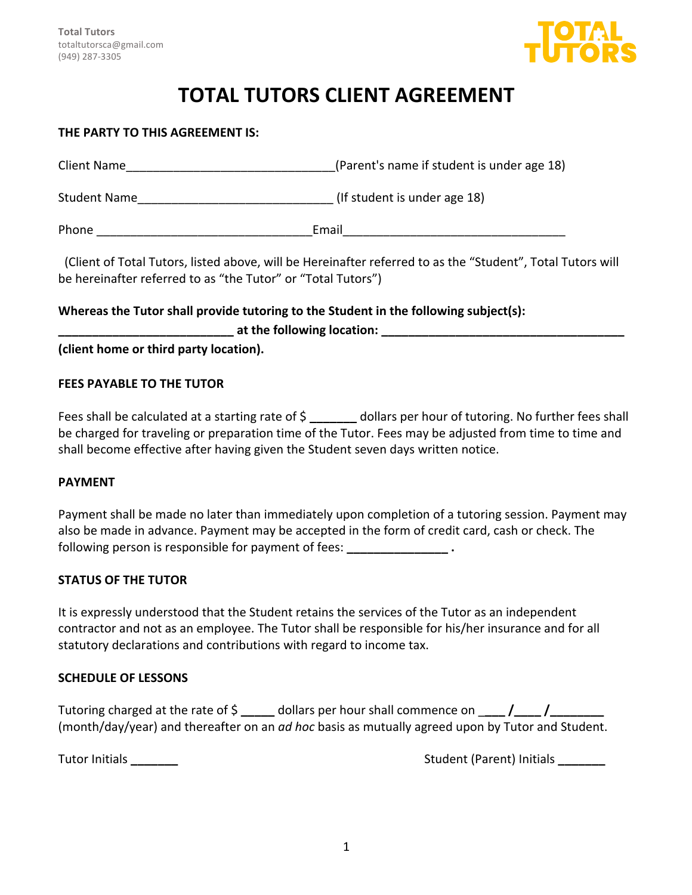

# **TOTAL TUTORS CLIENT AGREEMENT**

### **THE PARTY TO THIS AGREEMENT IS:**

| Client Name         | (Parent's name if student is under age 18)                                                       |
|---------------------|--------------------------------------------------------------------------------------------------|
| <b>Student Name</b> | (If student is under age 18)                                                                     |
| Phone               | Email                                                                                            |
|                     | Client of Total Tutors, listed above will be Usesingtter referred to as the "Ctudent", Total Tut |

(Client of Total Tutors, listed above, will be Hereinafter referred to as the "Student", Total Tutors will be hereinafter referred to as "the Tutor" or "Total Tutors")

### **Whereas the Tutor shall provide tutoring to the Student in the following subject(s):**

**Lat the following location: \_\_\_\_\_\_\_\_\_\_\_\_** 

**(client home or third party location).** 

### **FEES PAYABLE TO THE TUTOR**

Fees shall be calculated at a starting rate of \$ \_\_\_\_\_\_\_ dollars per hour of tutoring. No further fees shall be charged for traveling or preparation time of the Tutor. Fees may be adjusted from time to time and shall become effective after having given the Student seven days written notice.

### **PAYMENT**

Payment shall be made no later than immediately upon completion of a tutoring session. Payment may also be made in advance. Payment may be accepted in the form of credit card, cash or check. The following person is responsible for payment of fees:  $\cdot$ 

### **STATUS OF THE TUTOR**

It is expressly understood that the Student retains the services of the Tutor as an independent contractor and not as an employee. The Tutor shall be responsible for his/her insurance and for all statutory declarations and contributions with regard to income tax.

### **SCHEDULE OF LESSONS**

Tutoring charged at the rate of  $\frac{2}{3}$  \_\_\_\_\_ dollars per hour shall commence on  $\frac{2}{\sqrt{2}}$ (month/day/year) and thereafter on an *ad hoc* basis as mutually agreed upon by Tutor and Student.

Tutor Initials **Contract Contract Contract Contract Contract Contract Contract Contract Contract Contract Contract Contract Contract Contract Contract Contract Contract Contract Contract Contract Contract Contract Contract**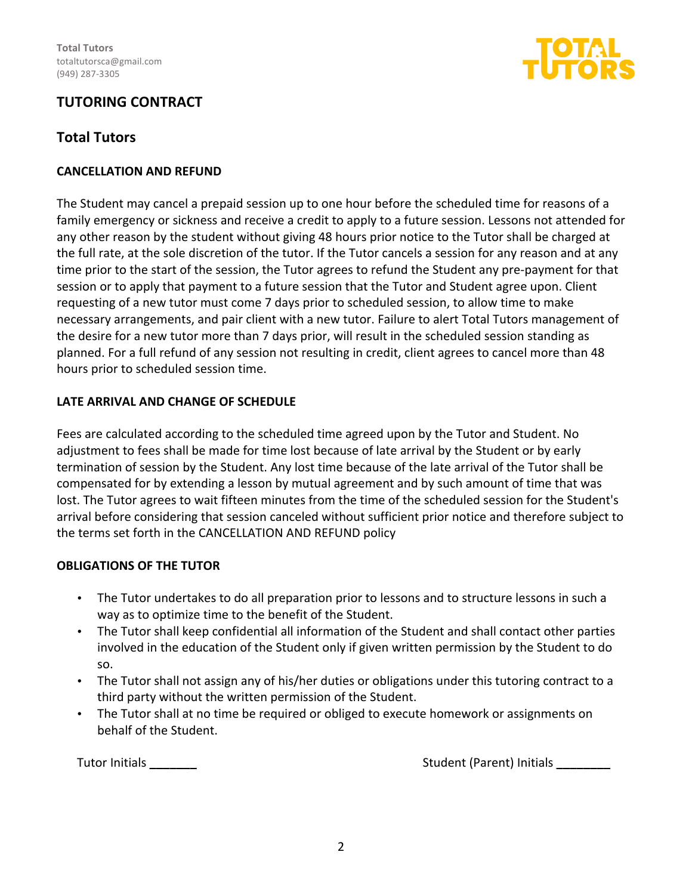

# **TUTORING CONTRACT**

# **Total Tutors**

### **CANCELLATION AND REFUND**

The Student may cancel a prepaid session up to one hour before the scheduled time for reasons of a family emergency or sickness and receive a credit to apply to a future session. Lessons not attended for any other reason by the student without giving 48 hours prior notice to the Tutor shall be charged at the full rate, at the sole discretion of the tutor. If the Tutor cancels a session for any reason and at any time prior to the start of the session, the Tutor agrees to refund the Student any pre-payment for that session or to apply that payment to a future session that the Tutor and Student agree upon. Client requesting of a new tutor must come 7 days prior to scheduled session, to allow time to make necessary arrangements, and pair client with a new tutor. Failure to alert Total Tutors management of the desire for a new tutor more than 7 days prior, will result in the scheduled session standing as planned. For a full refund of any session not resulting in credit, client agrees to cancel more than 48 hours prior to scheduled session time.

### **LATE ARRIVAL AND CHANGE OF SCHEDULE**

Fees are calculated according to the scheduled time agreed upon by the Tutor and Student. No adjustment to fees shall be made for time lost because of late arrival by the Student or by early termination of session by the Student. Any lost time because of the late arrival of the Tutor shall be compensated for by extending a lesson by mutual agreement and by such amount of time that was lost. The Tutor agrees to wait fifteen minutes from the time of the scheduled session for the Student's arrival before considering that session canceled without sufficient prior notice and therefore subject to the terms set forth in the CANCELLATION AND REFUND policy

### **OBLIGATIONS OF THE TUTOR**

- The Tutor undertakes to do all preparation prior to lessons and to structure lessons in such a way as to optimize time to the benefit of the Student.
- The Tutor shall keep confidential all information of the Student and shall contact other parties involved in the education of the Student only if given written permission by the Student to do so.
- The Tutor shall not assign any of his/her duties or obligations under this tutoring contract to a third party without the written permission of the Student.
- The Tutor shall at no time be required or obliged to execute homework or assignments on behalf of the Student.

Tutor Initials **\_\_\_\_\_\_\_**  Student (Parent) Initials **\_\_\_\_\_\_\_\_**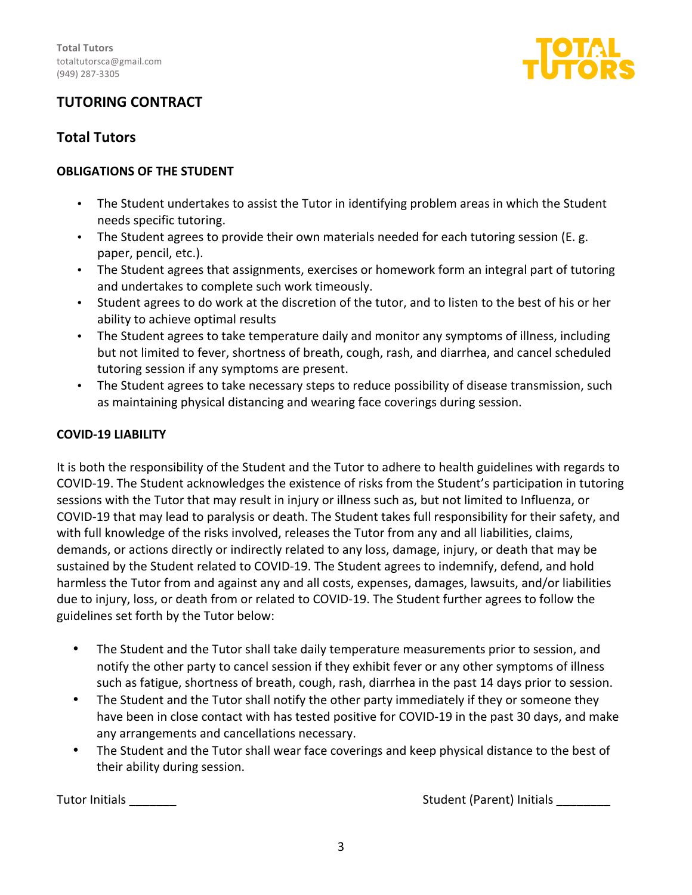

# **TUTORING CONTRACT**

### **Total Tutors**

### **OBLIGATIONS OF THE STUDENT**

- The Student undertakes to assist the Tutor in identifying problem areas in which the Student needs specific tutoring.
- The Student agrees to provide their own materials needed for each tutoring session (E. g. paper, pencil, etc.).
- The Student agrees that assignments, exercises or homework form an integral part of tutoring and undertakes to complete such work timeously.
- Student agrees to do work at the discretion of the tutor, and to listen to the best of his or her ability to achieve optimal results
- The Student agrees to take temperature daily and monitor any symptoms of illness, including but not limited to fever, shortness of breath, cough, rash, and diarrhea, and cancel scheduled tutoring session if any symptoms are present.
- The Student agrees to take necessary steps to reduce possibility of disease transmission, such as maintaining physical distancing and wearing face coverings during session.

### **COVID-19 LIABILITY**

It is both the responsibility of the Student and the Tutor to adhere to health guidelines with regards to COVID-19. The Student acknowledges the existence of risks from the Student's participation in tutoring sessions with the Tutor that may result in injury or illness such as, but not limited to Influenza, or COVID-19 that may lead to paralysis or death. The Student takes full responsibility for their safety, and with full knowledge of the risks involved, releases the Tutor from any and all liabilities, claims, demands, or actions directly or indirectly related to any loss, damage, injury, or death that may be sustained by the Student related to COVID-19. The Student agrees to indemnify, defend, and hold harmless the Tutor from and against any and all costs, expenses, damages, lawsuits, and/or liabilities due to injury, loss, or death from or related to COVID-19. The Student further agrees to follow the guidelines set forth by the Tutor below:

- The Student and the Tutor shall take daily temperature measurements prior to session, and notify the other party to cancel session if they exhibit fever or any other symptoms of illness such as fatigue, shortness of breath, cough, rash, diarrhea in the past 14 days prior to session.
- The Student and the Tutor shall notify the other party immediately if they or someone they have been in close contact with has tested positive for COVID-19 in the past 30 days, and make any arrangements and cancellations necessary.
- The Student and the Tutor shall wear face coverings and keep physical distance to the best of their ability during session.

Tutor Initials **\_\_\_\_\_\_\_**  Student (Parent) Initials **\_\_\_\_\_\_\_\_**